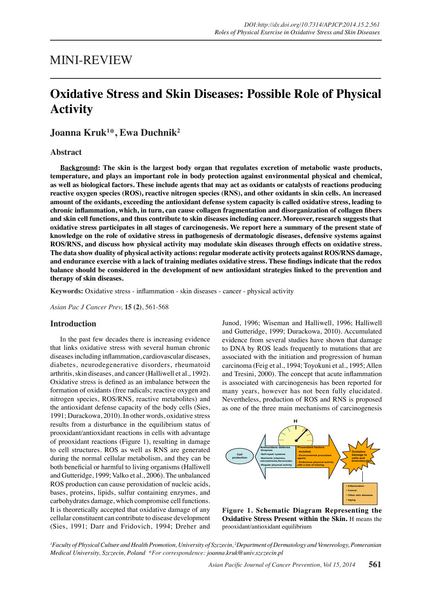# MINI-REVIEW

# **Oxidative Stress and Skin Diseases: Possible Role of Physical Activity**

**Joanna Kruk1 \*, Ewa Duchnik2**

# **Abstract**

**Background: The skin is the largest body organ that regulates excretion of metabolic waste products, temperature, and plays an important role in body protection against environmental physical and chemical, as well as biological factors. These include agents that may act as oxidants or catalysts of reactions producing reactive oxygen species (ROS), reactive nitrogen species (RNS), and other oxidants in skin cells. An increased amount of the oxidants, exceeding the antioxidant defense system capacity is called oxidative stress, leading to chronic inflammation, which, in turn, can cause collagen fragmentation and disorganization of collagen fibers and skin cell functions, and thus contribute to skin diseases including cancer. Moreover, research suggests that oxidative stress participates in all stages of carcinogenesis. We report here a summary of the present state of knowledge on the role of oxidative stress in pathogenesis of dermatologic diseases, defensive systems against ROS/RNS, and discuss how physical activity may modulate skin diseases through effects on oxidative stress. The data show duality of physical activity actions: regular moderate activity protects against ROS/RNS damage, and endurance exercise with a lack of training mediates oxidative stress. These findings indicate that the redox balance should be considered in the development of new antioxidant strategies linked to the prevention and therapy of skin diseases.**

**Keywords:** Oxidative stress - inflammation - skin diseases - cancer - physical activity

*Asian Pac J Cancer Prev,* **15 (2)**, 561-568

# **Introduction**

In the past few decades there is increasing evidence that links oxidative stress with several human chronic diseases including inflammation, cardiovascular diseases, diabetes, neurodegenerative disorders, rheumatoid arthritis, skin diseases, and cancer (Halliwell et al., 1992). Oxidative stress is defined as an imbalance between the formation of oxidants (free radicals; reactive oxygen and nitrogen species, ROS/RNS, reactive metabolites) and the antioxidant defense capacity of the body cells (Sies, 1991; Durackowa, 2010). In other words, oxidative stress results from a disturbance in the equilibrium status of prooxidant/antioxidant reactions in cells with advantage of prooxidant reactions (Figure 1), resulting in damage to cell structures. ROS as well as RNS are generated during the normal cellular metabolism, and they can be both beneficial or harmful to living organisms (Halliwell and Gutteridge, 1999; Valko et al., 2006). The unbalanced ROS production can cause peroxidation of nucleic acids, bases, proteins, lipids, sulfur containing enzymes, and carbohydrates damage, which compromise cell functions. It is theoretically accepted that oxidative damage of any cellular constituent can contribute to disease development (Sies, 1991; Darr and Fridovich, 1994; Dreher and Junod, 1996; Wiseman and Halliwell, 1996; Halliwell and Gutteridge, 1999; Durackowa, 2010). Accumulated evidence from several studies have shown that damage to DNA by ROS leads frequently to mutations that are associated with the initiation and progression of human carcinoma (Feig et al., 1994; Toyokuni et al., 1995; Allen and Tresini, 2000). The concept that acute inflammation is associated with carcinogenesis has been reported for many years, however has not been fully elucidated. Nevertheless, production of ROS and RNS is proposed as one of the three main mechanisms of carcinogenesis



**Figure 1. Schematic Diagram Representing the Oxidative Stress Present within the Skin.** H means the prooxidant/antioxidant equilibrium

<sup>1</sup> Faculty of Physical Culture and Health Promotion, University of Szczecin, <sup>2</sup>Department of Dermatology and Venereology, Pomeranian *Medical University, Szczecin, Poland \*For correspondence: joanna.kruk@univ.szczecin.pl*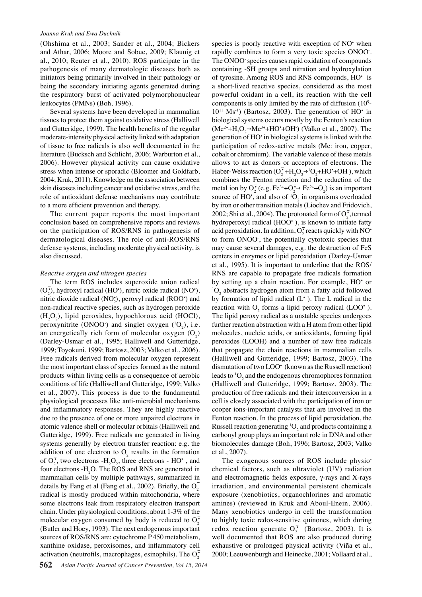(Ohshima et al., 2003; Sander et al., 2004; Bickers and Athar, 2006; Moore and Sobue, 2009; Klaunig et al., 2010; Reuter et al., 2010). ROS participate in the pathogenesis of many dermatologic diseases both as initiators being primarily involved in their pathology or being the secondary initiating agents generated during the respiratory burst of activated polymorphonuclear leukocytes (PMNs) (Boh, 1996).

Several systems have been developed in mammalian tissues to protect them against oxidative stress (Halliwell and Gutteridge, 1999). The health benefits of the regular moderate-intensity physical activity linked with adaptation of tissue to free radicals is also well documented in the literature (Bucksch and Schlicht, 2006; Warburton et al., 2006). However physical activity can cause oxidative stress when intense or sporadic (Bloomer and Goldfarb, 2004; Kruk, 2011). Knowledge on the association between skin diseases including cancer and oxidative stress, and the role of antioxidant defense mechanisms may contribute to a more efficient prevention and therapy.

The current paper reports the most important conclusion based on comprehensive reports and reviews on the participation of ROS/RNS in pathogenesis of dermatological diseases. The role of anti-ROS/RNS defense systems, including moderate physical activity, is also discussed.

#### *Reactive oxygen and nitrogen species*

The term ROS includes superoxide anion radical  $(O_2^{\dagger})$ , hydroxyl radical (HO<sup>\*</sup>), nitric oxide radical (NO<sup>\*</sup>), nitric dioxide radical  $(NO<sub>2</sub><sup>*</sup>)$ , peroxyl radical  $(ROO<sup>*</sup>)$  and non-radical reactive species, such as hydrogen peroxide  $(H_2O_2)$ , lipid peroxides, hypochlorous acid (HOCl), peroxynitrite (ONOO<sup>-</sup>) and singlet oxygen  $(^{1}O_{2})$ , i.e. an energetically rich form of molecular oxygen  $(O_2)$ (Darley-Usmar et al., 1995; Halliwell and Gutteridge, 1999; Toyokuni, 1999; Bartosz, 2003; Valko et al., 2006). Free radicals derived from molecular oxygen represent the most important class of species formed as the natural products within living cells as a consequence of aerobic conditions of life (Halliwell and Gutteridge, 1999; Valko et al., 2007). This process is due to the fundamental physiological processes like anti-microbial mechanisms and inflammatory responses. They are highly reactive due to the presence of one or more unpaired electrons in atomic valence shell or molecular orbitals (Halliwell and Gutteridge, 1999). Free radicals are generated in living systems generally by electron transfer reaction: e.g. the addition of one electron to  $O_2$  results in the formation of  $O_2^2$ , two electrons  $-H_2O_2$ , three electrons - HO<sup>\*</sup>, and four electrons - $H_2O$ . The ROS and RNS are generated in mammalian cells by multiple pathways, summarized in details by Fang et al (Fang et al., 2002). Briefly, the  $O_2^2$ radical is mostly produced within mitochondria, where some electrons leak from respiratory electron transport chain. Under physiological conditions, about 1-3% of the molecular oxygen consumed by body is reduced to  $O_2^{\bullet}$ (Butler and Hoey, 1993). The next endogenous important sources of ROS/RNS are: cytochrome P 450 metabolism, xanthine oxidase, peroxisomes, and inflammatory cell activation (neutrofils, macrophages, esinophils). The  $O_2^{\frac{1}{2}}$ 

species is poorly reactive with exception of  $NO<sup>+</sup>$  when rapidly combines to form a very toxic species ONOO- . The ONOO species causes rapid oxidation of compounds containing -SH groups and nitration and hydroxylation of tyrosine. Among ROS and RNS compounds, HO<sup> $\cdot$ </sup> is a short-lived reactive species, considered as the most powerful oxidant in a cell, its reaction with the cell components is only limited by the rate of diffusion (10<sup>9</sup>- $10^{11}$  Ms<sup>-1</sup>) (Bartosz, 2003). The generation of HO<sup>•</sup> in biological systems occurs mostly by the Fenton's reaction  $(Me^{2+} + H_2O_2 \rightarrow Me^{3+} + HO^* + OH^-)$  (Valko et al., 2007). The generation of HO<sup>\*</sup> in biological systems is linked with the participation of redox-active metals (Me: iron, copper, cobalt or chromium). The variable valence of these metals allows to act as donors or acceptors of electrons. The Haber-Weiss reaction  $(O_2^+ + H_2O_2^+) O_2 + HO^+ + OH^-)$ , which combines the Fenton reaction and the reduction of the metal ion by  $O_2^{\dagger}$  (e.g.  $Fe^{3+}+O_2^{\dagger}$  +  $Fe^{2+}+O_2$ ) is an important source of HO<sup>\*</sup>, and also of  ${}^{1}O_{2}$  in organisms overloaded by iron or other transition metals (Liochev and Fridovich, 2002; Shi et al., 2004). The protonated form of  $O_2^{\pm}$ , termed hydroperoxyl radical (HOO\*), is known to initiate fatty acid peroxidation. In addition,  $O_2^T$  reacts quickly with NO<sup>\*</sup> to form ONOO- , the potentially cytotoxic species that may cause several damages, e.g. the destruction of FeS centers in enzymes or lipid peroxidation (Darley-Usmar et al., 1995). It is important to underline that the ROS/ RNS are capable to propagate free radicals formation by setting up a chain reaction. For example, HO<sup>o</sup> or  $O_2$  abstracts hydrogen atom from a fatty acid followed by formation of lipid radical  $(L^{\bullet})$ . The L radical in the reaction with  $O_2$  forms a lipid peroxy radical (LOO $^{\circ}$ ). The lipid peroxy radical as a unstable species undergoes further reaction abstraction with a H atom from other lipid molecules, nucleic acids, or antioxidants, forming lipid peroxides (LOOH) and a number of new free radicals that propagate the chain reactions in mammalian cells (Halliwell and Gutteridge, 1999; Bartosz, 2003). The dismutation of two  $LOO<sup>*</sup>$  (known as the Russell reaction) leads to  ${}^{1}O_{2}$  and the endogenous chromophores formation (Halliwell and Gutteridge, 1999; Bartosz, 2003). The production of free radicals and their interconversion in a cell is closely associated with the participation of iron or cooper ions-important catalysts that are involved in the Fenton reaction. In the process of lipid peroxidation, the Russell reaction generating  ${}^{1}O_2$  and products containing a carbonyl group plays an important role in DNA and other biomolecules damage (Boh, 1996; Bartosz, 2003; Valko et al., 2007).

The exogenous sources of ROS include physiochemical factors, such as ultraviolet (UV) radiation and electromagnetic fields exposure, γ-rays and X-rays irradiation, and environmental persistent chemicals exposure (xenobiotics, organochlorines and aromatic amines) (reviewed in Kruk and Aboul-Enein, 2006). Many xenobiotics undergo in cell the transformation to highly toxic redox-sensitive quinones, which during redox reaction generate  $O_2^{\bullet}$  (Bartosz, 2003). It is well documented that ROS are also produced during exhaustive or prolonged physical activity (Viña et al., 2000; Leeuwenburgh and Heinecke, 2001; Vollaard et al.,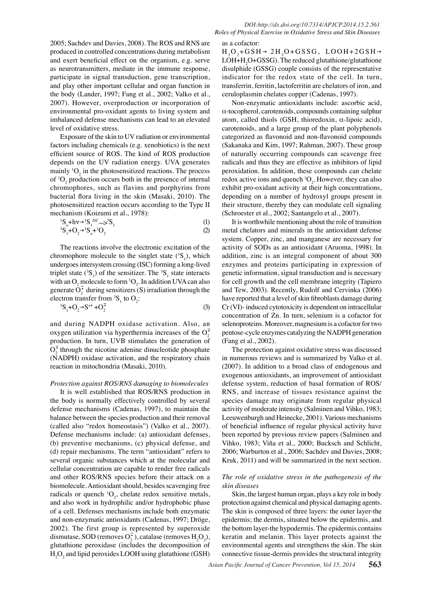2005; Sachdev and Davies, 2008). The ROS and RNS are produced in controlled concentrations during metabolism and exert beneficial effect on the organism, e.g. serve as neurotransmitters, mediate in the immune response, participate in signal transduction, gene transcription, and play other important cellular and organ function in the body (Lander, 1997; Fang et al., 2002; Valko et al., 2007). However, overproduction or incorporation of environmental pro-oxidant agents to living system and imbalanced defense mechanisms can lead to an elevated level of oxidative stress.

Exposure of the skin to UV radiation or environmental factors including chemicals (e.g. xenobiotics) is the next efficient source of ROS. The kind of ROS production depends on the UV radiation energy. UVA generates mainly  ${}^{1}O_{2}$  in the photosensitized reactions. The process of  ${}^{1}O_{2}$  production occurs both in the presence of internal chromophores, such as flavins and porphyrins from bacterial flora living in the skin (Masaki, 2010). The photosensitized reaction occurs according to the Type II mechanism (Koizumi et al., 1978):

$$
{}^{1}S_{0} + h\nu \rightarrow {}^{1}S_{1}{}^{1SC} \rightarrow {}^{3}S_{1}
$$
\n
$$
{}^{3}S_{1} + O_{2} \rightarrow {}^{1}S_{0} + {}^{1}O_{2}
$$
\n
$$
(1)
$$
\n
$$
(2)
$$

The reactions involve the electronic excitation of the chromophore molecule to the singlet state  $(^{1}S_{1})$ , which undergoes intersystem crossing (ISC) forming a long-lived triplet state  $(^{3}S_{1})$  of the sensitizer. The  $^{3}S_{1}$  state interacts with an  $O_2$  molecule to form  ${}^{1}O_2$ . In addition UVA can also generate  $\overline{O_2^+}$  during sensitizers (S) irradiation through the electron transfer from  ${}^3S_1$  to  $O_2$ :

$$
{}^{3}S_{1} + O_{2} \rightarrow S^{**} + O_{2}^{-} \tag{3}
$$

and during NADPH oxidase activation. Also, an oxygen utilization via hyperthermia increases of the  $O_2^{\pm}$ production. In turn, UVB stimulates the generation of  $\overline{O_2^*}$  through the nicotine adenine dinucleotide phosphate (NADPH) oxidase activation, and the respiratory chain reaction in mitochondria (Masaki, 2010).

#### *Protection against ROS/RNS damaging to biomolecules*

It is well established that ROS/RNS production in the body is normally effectively controlled by several defense mechanisms (Cadenas, 1997), to maintain the balance between the species production and their removal (called also "redox homeostasis") (Valko et al., 2007). Defense mechanisms include: (a) antioxidant defenses, (b) preventive mechanisms, (c) physical defense, and (d) repair mechanisms. The term "antioxidant" refers to several organic substances which at the molecular and cellular concentration are capable to render free radicals and other ROS/RNS species before their attack on a biomolecule. Antioxidant should, besides scavenging free radicals or quench  ${}^{1}O_{2}$ , chelate redox sensitive metals, and also work in hydrophilic and/or hydrophobic phase of a cell. Defenses mechanisms include both enzymatic and non-enzymatic antioxidants (Cadenas, 1997; Dröge, 2002). The first group is represented by superoxide dismutase, SOD (removes  $O_2^{\bullet}$ ), catalase (removes H<sub>2</sub>O<sub>2</sub>), glutathione peroxidase (includes the decomposition of  $H_2O_2$  and lipid peroxides LOOH using glutathione (GSH) as a cofactor:

 $H_2O_2+GSH \rightarrow 2H_2O+GSSG$ , LOOH+2GSH $\rightarrow$  $LOH+H<sub>2</sub>O+GSSG$ ). The reduced glutathione/glutathione disulphide (GSSG) couple consists of the representative indicator for the redox state of the cell. In turn, transferrin, ferritin, lactoferritin are chelators of iron, and ceruloplasmin chelates copper (Cadenas, 1997).

Non-enzymatic antioxidants include: ascorbic acid, α-tocopherol, carotenoids, compounds containing sulphur atom, called thiols (GSH, thioredoxin, α-lipoic acid), carotenoids, and a large group of the plant polyphenols categorized as flavonoid and non-flavonoid compounds (Sakanaka and Kim, 1997; Rahman, 2007). These group of naturally occurring compounds can scavenge free radicals and thus they are effective as inhibitors of lipid peroxidation. In addition, these compounds can chelate redox active ions and quench  ${}^{1}O_{2}$ . However, they can also exhibit pro-oxidant activity at their high concentrations, depending on a number of hydroxyl groups present in their structure, thereby they can modulate cell signaling (Schroester et al., 2002; Santangelo et al., 2007).

It is worthwhile mentioning about the role of transition metal chelators and minerals in the antioxidant defense system. Copper, zinc, and manganese are necessary for activity of SODs as an antioxidant (Aruoma, 1998). In addition, zinc is an integral component of about 300 enzymes and proteins participating in expression of genetic information, signal transduction and is necessary for cell growth and the cell membrane integrity (Tapiero and Tew, 2003). Recently, Rudolf and Cervinka (2006) have reported that a level of skin fibroblasts damage during Cr (VI)- induced cytotoxicity is dependent on intracellular concentration of Zn. In turn, selenium is a cofactor for selenoproteins. Moreover, magnesium is a cofactor for two pentose-cycle enzymes catalyzing the NADPH generation (Fang et al., 2002).

The protection against oxidative stress was discussed in numerous reviews and is summarized by Valko et al. (2007). In addition to a broad class of endogenous and exogenous antioxidants, an improvement of antioxidant defense system, reduction of basal formation of ROS/ RNS, and increase of tissues resistance against the species damage may originate from regular physical activity of moderate intensity (Salminen and Vihko, 1983; Leeuwenburgh and Heinecke, 2001). Various mechanisms of beneficial influence of regular physical activity have been reported by previous review papers (Salminen and Vihko, 1983; Viña et al., 2000; Bucksch and Schlicht, 2006; Warburton et al., 2006; Sachdev and Davies, 2008; Kruk, 2011) and will be summarized in the next section.

#### *The role of oxidative stress in the pathogenesis of the skin diseases*

Skin, the largest human organ, plays a key role in body protection against chemical and physical damaging agents. The skin is composed of three layers: the outer layer-the epidermis; the dermis, situated below the epidermis, and the bottom layer-the hypodermis. The epidermis contains keratin and melanin. This layer protects against the environmental agents and strengthens the skin. The skin connective tissue-dermis provides the structural integrity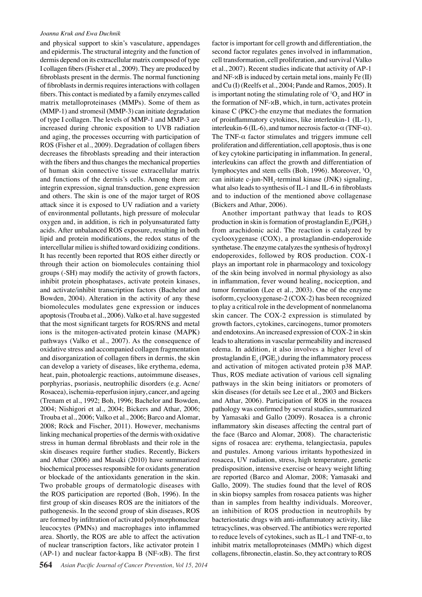and physical support to skin's vasculature, appendages and epidermis. The structural integrity and the function of dermis depend on its extracellular matrix composed of type I collagen fibers (Fisher et al., 2009). They are produced by fibroblasts present in the dermis. The normal functioning of fibroblasts in dermis requires interactions with collagen fibers. This contact is mediated by a family enzymes called matrix metalloproteinases (MMPs). Some of them as (MMP-1) and stromesil (MMP-3) can initiate degradation of type I collagen. The levels of MMP-1 and MMP-3 are increased during chronic exposition to UVB radiation and aging, the processes occurring with participation of ROS (Fisher et al., 2009). Degradation of collagen fibers decreases the fibroblasts spreading and their interaction with the fibers and thus changes the mechanical properties of human skin connective tissue extracellular matrix and functions of the dermis's cells. Among them are: integrin expression, signal transduction, gene expression and others. The skin is one of the major target of ROS attack since it is exposed to UV radiation and a variety of environmental pollutants, high pressure of molecular oxygen and, in addition, is rich in polyunsaturated fatty acids. After unbalanced ROS exposure, resulting in both lipid and protein modifications, the redox status of the intercellular milieu is shifted toward oxidizing conditions. It has recently been reported that ROS either directly or through their action on biomolecules containing thiol groups (-SH) may modify the activity of growth factors, inhibit protein phosphatases, activate protein kinases, and activate/inhibit transcription factors (Bachelor and Bowden, 2004). Alteration in the activity of any these biomolecules modulates gene expression or induces apoptosis (Trouba et al., 2006). Valko et al. have suggested that the most significant targets for ROS/RNS and metal ions is the mitogen-activated protein kinase (MAPK) pathways (Valko et al., 2007). As the consequence of oxidative stress and accompanied collagen fragmentation and disorganization of collagen fibers in dermis, the skin can develop a variety of diseases, like erythema, edema, heat, pain, photoalergic reactions, autoimmune diseases, porphyrias, psoriasis, neutrophilic disorders (e.g. Acne/ Rosacea), ischemia-reperfusion injury, cancer, and ageing (Trenam et al., 1992; Boh, 1996; Bachelor and Bowden, 2004; Nishigori et al., 2004; Bickers and Athar, 2006; Trouba et al., 2006; Valko et al., 2006; Barco and Alomar, 2008; Röck and Fischer, 2011). However, mechanisms linking mechanical properties of the dermis with oxidative stress in human dermal fibroblasts and their role in the skin diseases require further studies. Recently, Bickers and Athar (2006) and Masaki (2010) have summarized biochemical processes responsible for oxidants generation or blockade of the antioxidants generation in the skin. Two probable groups of dermatologic diseases with the ROS participation are reported (Boh, 1996). In the first group of skin diseases ROS are the initiators of the pathogenesis. In the second group of skin diseases, ROS are formed by infiltration of activated polymorphonuclear leucocytes (PMNs) and macrophages into inflammed area. Shortly, the ROS are able to affect the activation of nuclear transcription factors, like activator protein 1 (AP-1) and nuclear factor-kappa B (NF-κB). The first

factor is important for cell growth and differentiation, the second factor regulates genes involved in inflammation, cell transformation, cell proliferation, and survival (Valko et al., 2007). Recent studies indicate that activity of AP-1 and  $NF-\alpha B$  is induced by certain metal ions, mainly Fe (II) and Cu (I) (Reelfs et al., 2004; Pande and Ramos, 2005). It is important noting the stimulating role of  ${}^{1}O_{2}$  and HO $^{\circ}$  in the formation of NF-κB, which, in turn, activates protein kinase C (PKC)-the enzyme that mediates the formation of proinflammatory cytokines, like interleukin-1 (IL-1), interleukin-6 (IL-6), and tumor necrosis factor-α (TNF-α). The TNF- $\alpha$  factor stimulates and triggers immune cell proliferation and differentiation, cell apoptosis, thus is one of key cytokine participating in inflammation. In general, interleukins can affect the growth and differentiation of lymphocytes and stem cells (Boh, 1996). Moreover,  ${}^{1}O_{2}$ can initiate c-jun-NH<sub>2</sub>-terminal kinase (JNK) signaling, what also leads to synthesis of IL-1 and IL-6 in fibroblasts and to induction of the mentioned above collagenase (Bickers and Athar, 2006).

Another important pathway that leads to ROS production in skin is formation of prostaglandin  $E_2(PGH_2)$ from arachidonic acid. The reaction is catalyzed by cyclooxygenase (COX), a prostaglandin-endoperoxide synthetase. The enzyme catalyzes the synthesis of hydroxyl endoperoxides, followed by ROS production. COX-1 plays an important role in pharmacology and toxicology of the skin being involved in normal physiology as also in inflammation, fever wound healing, nociception, and tumor formation (Lee et al., 2003). One of the enzyme isoform, cyclooxygenase-2 (COX-2) has been recognized to play a critical role in the development of nonmelanoma skin cancer. The COX-2 expression is stimulated by growth factors, cytokines, carcinogens, tumor promoters and endotoxins. An increased expression of COX-2 in skin leads to alterations in vascular permeability and increased edema. In addition, it also involves a higher level of prostaglandin  $E_2(PGE_2)$  during the inflammatory process and activation of mitogen activated protein p38 MAP. Thus, ROS mediate activation of various cell signaling pathways in the skin being initiators or promoters of skin diseases (for details see Lee et al., 2003 and Bickers and Athar, 2006). Participation of ROS in the rosacea pathology was confirmed by several studies, summarized by Yamasaki and Gallo (2009). Rosacea is a chronic inflammatory skin diseases affecting the central part of the face (Barco and Alomar, 2008). The characteristic signs of rosacea are: erythema, telangiectasia, papules and pustules. Among various irritants hypothesized in rosacea, UV radiation, stress, high temperature, genetic predisposition, intensive exercise or heavy weight lifting are reported (Barco and Alomar, 2008; Yamasaki and Gallo, 2009). The studies found that the level of ROS in skin biopsy samples from rosacea patients was higher than in samples from healthy individuals. Moreover, an inhibition of ROS production in neutrophils by bacteriostatic drugs with anti-inflammatory activity, like tetracyclines, was observed. The antibiotics were reported to reduce levels of cytokines, such as IL-1 and TNF- $\alpha$ , to inhibit matrix metalloproteinases (MMPs) which digest collagens, fibronectin, elastin. So, they act contrary to ROS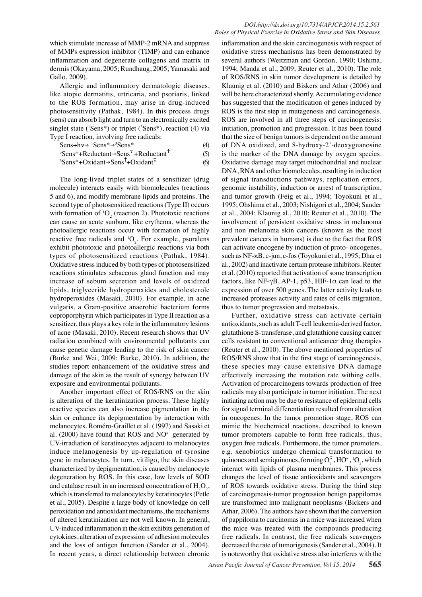which stimulate increase of MMP-2 mRNA and suppress of MMPs expression inhibitor (TIMP) and can enhance inflammation and degenerate collagens and matrix in dermis (Okayama, 2005; Rundhaug, 2005; Yamasaki and Gallo, 2009).

Allergic and inflammatory dermatologic diseases, like atopic dermatitis, urtricaria, and psoriaris, linked to the ROS formation, may arise in drug-induced photosensitivity (Pathak, 1984). In this process drugs (sens) can absorb light and turn to an electronically excited singlet state ( ${}^{1}$ Sens<sup>\*</sup>) or triplet ( ${}^{3}$ Sens<sup>\*</sup>), reaction (4) via Type I reaction, involving free radicals:

| Sens+hv $\rightarrow$ ${}^{1}$ Sens* $\rightarrow$ ${}^{3}$ Sens*                  | (4) |
|------------------------------------------------------------------------------------|-----|
| $3$ Sens*+Reductant $\rightarrow$ Sens $\bar{\bullet}$ +Reductant $\bar{\uparrow}$ | (5) |
| $3$ Sens*+Oxidant→Sens <sup>†</sup> +Oxidant <sup>†</sup>                          | (6) |

The long-lived triplet states of a sensitizer (drug molecule) interacts easily with biomolecules (reactions 5 and 6), and modify membrane lipids and proteins. The second type of photosensitized reactions (Type II) occurs with formation of  ${}^{1}O_{2}$  (reaction 2). Phototoxic reactions can cause an acute sunburn, like erythema, whereas the photoallergic reactions occur with formation of highly reactive free radicals and  ${}^{1}O_{2}$ . For example, psoralens exhibit phototoxic and photoallergic reactions via both types of photosensitized reactions (Pathak, 1984). Oxidative stress induced by both types of photosensitized reactions stimulates sebaceous gland function and may increase of sebum secretion and levels of oxidized lipids, triglyceride hydroperoxides and cholesterole hydroperoxides (Masaki, 2010). For example, in acne vulgaris, a Gram-positive anaerobic bacterium forms coproporphyrin which participates in Type II reaction as a sensitizer, thus plays a key role in the inflammatory lesions of acne (Masaki, 2010). Recent research shows that UV radiation combined with environmental pollutants can cause genetic damage leading to the risk of skin cancer (Burke and Wei, 2009; Burke, 2010). In addition, the studies report enhancement of the oxidative stress and damage of the skin as the result of synergy between UV exposure and environmental pollutants.

Another important effect of ROS/RNS on the skin is alteration of the keratinization process. These highly reactive species can also increase pigmentation in the skin or enhance its depigmentation by interaction with melanocytes. Roméro-Graillet et al. (1997) and Sasaki et al. (2000) have found that ROS and  $NO<sup>+</sup>$  generated by UV-irradiation of keratinocytes adjacent to melanocytes induce melanogenesis by up-regulation of tyrosine gene in melanocytes. In turn, vitiligo, the skin diseases characterized by depigmentation, is caused by melanocyte degeneration by ROS. In this case, low levels of SOD and catalase result in an increased concentration of  $H_2O_2$ , which is transferred to melanocytes by keratinocytes (Petle et al., 2005). Despite a large body of knowledge on cell peroxidation and antioxidant mechanisms, the mechanisms of altered keratinization are not well known. In general, UV-induced inflammation in the skin exhibits generation of cytokines, alteration of expression of adhesion molecules and the loss of antigen function (Sander et al., 2004). In recent years, a direct relationship between chronic

inflammation and the skin carcinogenesis with respect of oxidative stress mechanisms has been demonstrated by several authors (Weitzman and Gordon, 1990; Oshima, 1994; Manda et al., 2009; Reuter et al., 2010). The role of ROS/RNS in skin tumor development is detailed by Klaunig et al. (2010) and Biskers and Athar (2006) and will be here characterized shortly. Accumulating evidence has suggested that the modification of genes induced by ROS is the first step in mutagenesis and carcinogenesis. ROS are involved in all three steps of carcinogenesis: initiation, promotion and progression. It has been found that the size of benign tumors is dependent on the amount of DNA oxidized, and 8-hydroxy-2'-deoxyguanosine is the marker of the DNA damage by oxygen species. Oxidative damage may target mitochondrial and nuclear DNA, RNA and other biomolecules, resulting in induction of signal transductions pathways, replication errors, genomic instability, induction or arrest of transcription, and tumor growth (Feig et al., 1994; Toyokuni et al., 1995; Ohshima et al., 2003; Nishigori et al., 2004; Sander et al., 2004; Klaunig al., 2010; Reuter et al., 2010). The involvement of persistent oxidative stress in melanoma and non melanoma skin cancers (known as the most prevalent cancers in humans) is due to the fact that ROS can activate oncogene by induction of proto- oncogenes, such as NF-κB, c-jun, c-fos (Toyokuni et al., 1995; Dhar et al., 2002) and inactivate certain protease inhibitors. Reuter et al. (2010) reported that activation of some transcription factors, like NF- $\gamma$ B, AP-1, p53, HIF-1 $\alpha$  can lead to the expression of over 500 genes. The latter activity leads to increased proteases activity and rates of cells migration, thus to tumor progression and metastasis.

Further, oxidative stress can activate certain antioxidants, such as adult T-cell leukemia-derived factor, glutathione S-transferase, and glutathione causing cancer cells resistant to conventional anticancer drug therapies (Reuter et al., 2010). The above mentioned properties of ROS/RNS show that in the first stage of carcinogenesis, these species may cause extensive DNA damage effectively increasing the mutation rate withing cells. Activation of procarcinogens towards production of free radicals may also participate in tumor initiation. The next initiating action may be due to resistance of epidermal cells for signal terminal differentiation resulted from alteration in oncogenes. In the tumor promotion stage, ROS can mimic the biochemical reactions, described to known tumor promoters capable to form free radicals, thus, oxygen free radicals. Furthermore, the tumor promoters, e.g. xenobiotics undergo chemical transformation to quinones and semiquinones, forming  $O_2^T$ , HO<sup>+</sup>, <sup>1</sup>O<sub>2</sub>, which interact with lipids of plasma membranes. This process changes the level of tissue antioxidants and scavengers of ROS towards oxidative stress. During the third step of carcinogenesis-tumor progression benign pappilomas are transformed into malignant neoplasms (Bickers and Athar, 2006). The authors have shown that the conversion of pappiloma to carcinomas in a mice was increased when the mice was treated with the compounds producing free radicals. In contrast, the free radicals scavengers decreased the rate of tumorigenesis (Sander et al., 2004). It is noteworthy that oxidative stress also interferes with the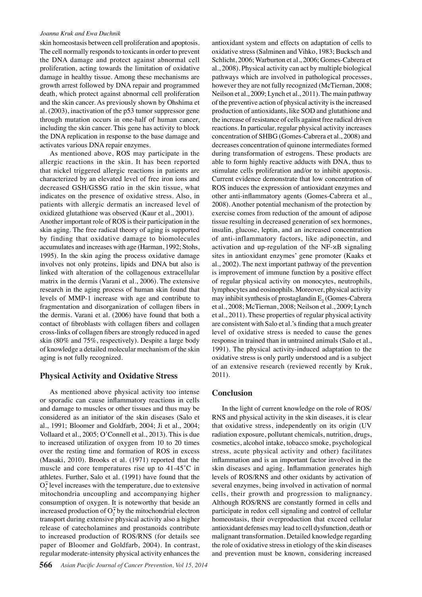skin homeostasis between cell proliferation and apoptosis. The cell normally responds to toxicants in order to prevent the DNA damage and protect against abnormal cell proliferation, acting towards the limitation of oxidative damage in healthy tissue. Among these mechanisms are growth arrest followed by DNA repair and programmed death, which protect against abnormal cell proliferation and the skin cancer. As previously shown by Ohshima et al. (2003), inactivation of the p53 tumor suppressor gene through mutation occurs in one-half of human cancer, including the skin cancer. This gene has activity to block the DNA replication in response to the base damage and activates various DNA repair enzymes.

As mentioned above, ROS may participate in the allergic reactions in the skin. It has been reported that nickel triggered allergic reactions in patients are characterized by an elevated level of free iron ions and decreased GSH/GSSG ratio in the skin tissue, what indicates on the presence of oxidative stress. Also, in patients with allergic dermatis an increased level of oxidized glutathione was observed (Kaur et al., 2001).

Another important role of ROS is their participation in the skin aging. The free radical theory of aging is supported by finding that oxidative damage to biomolecules accumulates and increases with age (Harman, 1992; Stohs, 1995). In the skin aging the process oxidative damage involves not only proteins, lipids and DNA but also is linked with alteration of the collagenous extracellular matrix in the dermis (Varani et al., 2006). The extensive research in the aging process of human skin found that levels of MMP-1 increase with age and contribute to fragmentation and disorganization of collagen fibers in the dermis. Varani et al. (2006) have found that both a contact of fibroblasts with collagen fibers and collagen cross-links of collagen fibers are strongly reduced in aged skin (80% and 75%, respectively). Despite a large body of knowledge a detailed molecular mechanism of the skin aging is not fully recognized.

# **Physical Activity and Oxidative Stress**

As mentioned above physical activity too intense or sporadic can cause inflammatory reactions in cells and damage to muscles or other tissues and thus may be considered as an initiator of the skin diseases (Salo et al., 1991; Bloomer and Goldfarb, 2004; Ji et al., 2004; Vollaard et al., 2005; O'Connell et al., 2013). This is due to increased utilization of oxygen from 10 to 20 times over the resting time and formation of ROS in excess (Masaki, 2010). Brooks et al. (1971) reported that the muscle and core temperatures rise up to 41-45˚C in athletes. Further, Salo et al. (1991) have found that the  $O_2^{\pm}$  level increases with the temperature, due to extensive mitochondria uncoupling and accompanying higher consumption of oxygen. It is noteworthy that beside an increased production of  $O_2^{\bullet}$  by the mitochondrial electron transport during extensive physical activity also a higher release of catecholamines and prostanoids contribute to increased production of ROS/RNS (for details see paper of Bloomer and Goldfarb, 2004). In contrast, regular moderate-intensity physical activity enhances the

antioxidant system and effects on adaptation of cells to oxidative stress (Salminen and Vihko, 1983; Bucksch and Schlicht, 2006; Warburton et al., 2006; Gomes-Cabrera et al., 2008). Physical activity can act by multiple biological pathways which are involved in pathological processes, however they are not fully recognized (McTiernan, 2008; Neilson et al., 2009; Lynch et al., 2011). The main pathway of the preventive action of physical activity is the increased production of antioxidants, like SOD and glutathione and the increase of resistance of cells against free radical driven reactions. In particular, regular physical activity increases concentration of SHBG (Gomes-Cabrera et al., 2008) and decreases concentration of quinone intermediates formed during transformation of estrogens. These products are able to form highly reactive adducts with DNA, thus to stimulate cells proliferation and/or to inhibit apoptosis. Current evidence demonstrate that low concentration of ROS induces the expression of antioxidant enzymes and other anti-inflammatory agents (Gomes-Cabrera et al., 2008). Another potential mechanism of the protection by exercise comes from reduction of the amount of adipose tissue resulting in decreased generation of sex hormones, insulin, glucose, leptin, and an increased concentration of anti-inflammatory factors, like adiponectin, and activation and up-regulation of the NF-κB signaling sites in antioxidant enzymes' gene promoter (Kaaks et al., 2002). The next important pathway of the prevention is improvement of immune function by a positive effect of regular physical activity on monocytes, neutrophils, lymphocytes and eosinophils. Moreover, physical activity may inhibit synthesis of prostaglandin  $E_2$  (Gomes-Cabrera et al., 2008; McTiernan, 2008; Neilson et al., 2009; Lynch et al., 2011). These properties of regular physical activity are consistent with Salo et al.'s finding that a much greater level of oxidative stress is needed to cause the genes response in trained than in untrained animals (Salo et al., 1991). The physical activity-induced adaptation to the oxidative stress is only partly understood and is a subject of an extensive research (reviewed recently by Kruk, 2011).

# **Conclusion**

In the light of current knowledge on the role of ROS/ RNS and physical activity in the skin diseases, it is clear that oxidative stress, independently on its origin (UV radiation exposure, pollutant chemicals, nutrition, drugs, cosmetics, alcohol intake, tobacco smoke, psychological stress, acute physical activity and other) facilitates inflammation and is an important factor involved in the skin diseases and aging. Inflammation generates high levels of ROS/RNS and other oxidants by activation of several enzymes, being involved in activation of normal cells, their growth and progression to malignancy. Although ROS/RNS are constantly formed in cells and participate in redox cell signaling and control of cellular homeostasis, their overproduction that exceed cellular antioxidant defenses may lead to cell dysfunction, death or malignant transformation. Detailed knowledge regarding the role of oxidative stress in etiology of the skin diseases and prevention must be known, considering increased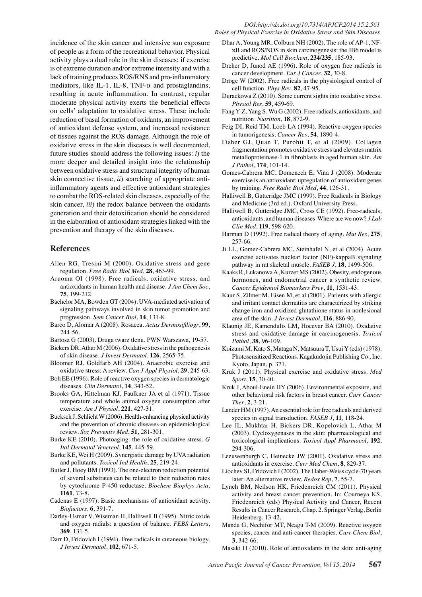incidence of the skin cancer and intensive sun exposure of people as a form of the recreational behavior. Physical activity plays a dual role in the skin diseases; if exercise is of extreme duration and/or extreme intensity and with a lack of training produces ROS/RNS and pro-inflammatory mediators, like IL-1, IL-8, TNF- $\alpha$  and prostaglandins, resulting in acute inflammation. In contrast, regular moderate physical activity exerts the beneficial effects on cells' adaptation to oxidative stress. These include reduction of basal formation of oxidants, an improvement of antioxidant defense system, and increased resistance of tissues against the ROS damage. Although the role of oxidative stress in the skin diseases is well documented, future studies should address the following issues: *i*) the more deeper and detailed insight into the relationship between oxidative stress and structural integrity of human skin connective tissue, *ii*) searching of appropriate antiinflammatory agents and effective antioxidant strategies to combat the ROS-related skin diseases, especially of the skin cancer, *iii*) the redox balance between the oxidants generation and their detoxification should be considered in the elaboration of antioxidant strategies linked with the prevention and therapy of the skin diseases.

# **References**

- Allen RG, Tresini M (2000). Oxidative stress and gene regulation. *Free Radic Biol Med*, **28**, 463-99.
- Aruoma OI (1998). Free radicals, oxidative stress, and antioxidants in human health and disease. *J Am Chem Soc*, **75**, 199-212.
- Bachelor MA, Bowden GT (2004). UVA-mediated activation of signaling pathways involved in skin tumor promotion and progression. *Sem Cancer Biol*, **14**, 131-8.
- Barco D, Alomar A (2008). Rosacea. *Actas Dermosifiliogr*, **99**, 244-56.
- Bartosz G (2003). Druga twarz tlenu. PWN Warszawa, 19-57.
- Bickers DR, Athar M (2006). Oxidative stress in the pathogenesis of skin disease. *J Invest Dermatol*, **126**, 2565-75.
- Bloomer RJ, Goldfarb AH (2004). Anaerobic exercise and oxidative stress: A review. *Can J Appl Physiol*, **29**, 245-63.
- Boh EE (1996). Role of reactive oxygen species in dermatologic diseases. *Clin Dermatol*, **14**, 343-52.
- Brooks GA, Hittelman KJ, Faulkner JA et al (1971). Tissue temperature and whole animal oxygen consumption after exercise. *Am J Physiol*, **221**, 427-31.
- Bucksch J, Schlicht W (2006). Health-enhancing physical activity and the prevention of chronic diseases-an epidemiological review. *Soz Preventiv Med*, **51**, 281-301.
- Burke KE (2010). Photoaging: the role of oxidative stress. *G Ital Dermatol Venereol*, **145**, 445-59.
- Burke KE, Wei H (2009). Synergistic damage by UVA radiation and pollutants. *Toxicol Ind Health*, **25**, 219-24.
- Butler J, Hoey BM (1993). The one-electron reduction potential of several substrates can be related to their reduction rates by cytochrome P-450 reductase. *Biochem Biophys Acta*, **1161**, 73-8.
- Cadenas E (1997). Basic mechanisms of antioxidant activity. *Biofactors*, **6**, 391-7.
- Darley-Usmar V, Wiseman H, Halliwell B (1995). Nitric oxide and oxygen radials: a question of balance. *FEBS Letters*, **369**, 131-5.
- Darr D, Fridovich I (1994). Free radicals in cutaneous biology. *J Invest Dermatol*, **102**, 671-5.
- Dhar A, Young MR, Colburn NH (2002). The role of AP-1, NFκB and ROS/NOS in skin carcinogenesis: the JB6 model is predictive. *Mol Cell Biochem*, **234/235**, 185-93.
- Dreher D, Junod AE (1996). Role of oxygen free radicals in cancer development. *Eur J Cancer*, **32**, 30-8.
- Dröge W (2002). Free radicals in the physiological control of cell function. *Phys Rev*, **82**, 47-95.
- Durackowa Z (2010). Some current sights into oxidative stress. *Physiol Res*, **59**, 459-69.
- Fang Y-Z, Yang S, Wu G (2002). Free radicals, antioxidants, and nutrition. *Nutrition*, **18**, 872-9.
- Feig DI, Reid TM, Loeb LA (1994). Reactive oxygen species in tumorigenesis. *Cancer Res*, **54**, 1890-4.
- Fisher GJ, Quan T, Purohit T, et al (2009). Collagen fragmentation promotes oxidative stress and elevates matrix metalloproteinase-1 in fibroblasts in aged human skin. *Am J Pathol*, **174**, 101-14.
- Gomes-Cabrera MC, Domenech E, Viña J (2008). Moderate exercise is an antioxidant: upregulation of antioxidant genes by training. *Free Radic Biol Med*, **44**, 126-31.
- Halliwell B, Gutteridge JMC (1999). Free Radicals in Biology and Medicine (3rd ed.). Oxford University Press.
- Halliwell B, Gutteridge JMC, Cross CE (1992). Free-radicals, antioxidants, and human diseases-Where are we now? *J Lab Clin Med*, **119**, 598-620.
- Harman D (1992). Free radical theory of aging. *Mut Res*, **275**, 257-66.
- Ji LL, Gomez-Cabrera MC, Steinhafel N, et al (2004). Acute exercise activates nuclear factor (NF)-kappaB signaling pathway in rat skeletal muscle. *FASEB J*, **18**, 1499-506.
- Kaaks R, Lukanowa A, Kurzer MS (2002). Obesity, endogenous hormones, and endometrial cancer a synthetic review. *Cancer Epidemiol Biomarkers Prev*, **11**, 1531-43.
- Kaur S, Zilmer M, Eisen M, et al (2001). Patients with allergic and irritant contact dermatitis are characterized by striking change iron and oxidized glutathione status in nonlesional area of the skin. *J Invest Dermatol*, **116**, 886-90.
- Klaunig JE, Kamendulis LM, Hocevar BA (2010). Oxidative stress and oxidative damage in carcinogenesis. *Toxicol Pathol*, **38**, 96-109.
- Koizumi M, Kato S, Mataga N, Matsuura T, Usui Y (eds) (1978). Photosensitized Reactions. Kagakudojin Publishing Co., Inc. Kyoto, Japan, p. 371.
- Kruk J (2011). Physical exercise and oxidative stress. *Med Sport*, **15**, 30-40.
- Kruk J, Aboul-Enein HY (2006). Environmental exposure, and other behavioral risk factors in breast cancer. *Curr Cancer Ther*, **2**, 3-21.
- Lander HM (1997). An essential role for free radicals and derived species in signal transduction. *FASEB J*, **11**, 118-24.
- Lee JL, Mukhtar H, Bickers DR, Kopelovich L, Athar M (2003). Cycloxygenases in the skin: pharmacological and toxicological implications. *Toxicol Appl Pharmacol*, **192**, 294-306.
- Leeuwenburgh C, Heinecke JW (2001). Oxidative stress and antioxidants in exercise. *Curr Med Chem*, **8**, 829-37.
- Liochev SI, Fridovich I (2002). The Haber-Weiss cycle-70 years later. An alternative review. *Redox Rep*, **7**, 55-7.
- Lynch BM, Neilson HK, Friedenreich CM (2011). Physical activity and breast cancer prevention. In: Courneya KS, Friedenreich (eds) Physical Activity and Cancer, Recent Results in Cancer Research, Chap. 2. Springer Verlag, Berlin Heidenberg, 13-42.
- Manda G, Nechifor MT, Neagu T-M (2009). Reactive oxygen species, cancer and anti-cancer therapies. *Curr Chem Biol*, **3**, 342-66.
- Masaki H (2010). Role of antioxidants in the skin: anti-aging